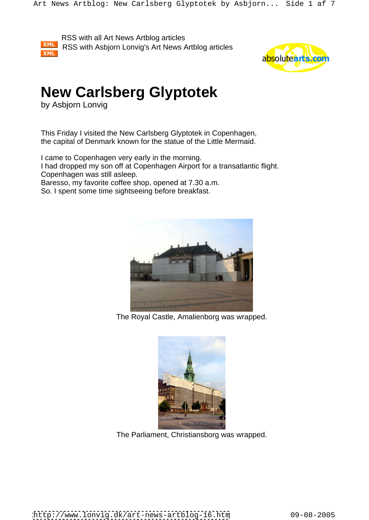



# **New Carlsberg Glyptotek**

by Asbjorn Lonvig

This Friday I visited the New Carlsberg Glyptotek in Copenhagen, the capital of Denmark known for the statue of the Little Mermaid.

I came to Copenhagen very early in the morning.

I had dropped my son off at Copenhagen Airport for a transatlantic flight. Copenhagen was still asleep.

Baresso, my favorite coffee shop, opened at 7.30 a.m.

So. I spent some time sightseeing before breakfast.



The Royal Castle, Amalienborg was wrapped.



The Parliament, Christiansborg was wrapped.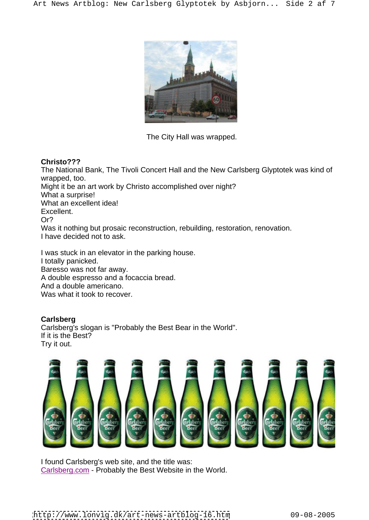

# **Christo???**

The National Bank, The Tivoli Concert Hall and the New Carlsberg Glyptotek was kind of wrapped, too. Might it be an art work by Christo accomplished over night? What a surprise! What an excellent idea! Excellent. The contract of the contract of the contract of the contract of the contract of the contract of the contract of the contract of the contract of the contract of the contract of the contract of the contract of the Or? Was it nothing but prosaic reconstruction, rebuilding, restoration, renovation. I have decided not to ask.

I was stuck in an elevator in the parking house. I totally panicked. Baresso was not far away. A double espresso and a focaccia bread. And a double americano. Was what it took to recover.

## **Carlsberg**

Carlsberg's slogan is "Probably the Best Bear in the World". If it is the Best? Try it out.



I found Carlsberg's web site, and the title was: Carlsberg.com - Probably the Best Website in the World.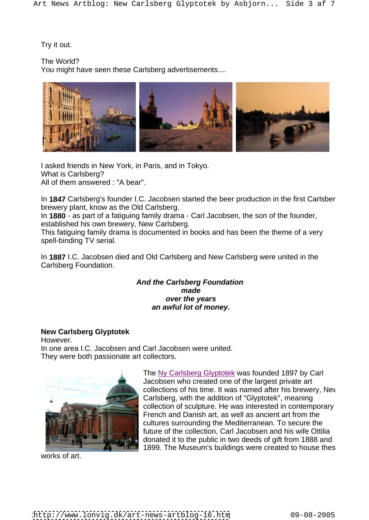Try it out.

The World?

You might have seen these Carlsberg advertisements....



I asked friends in New York, in Paris, and in Tokyo. What is Carlsberg? All of them answered : "A bear".

In 1847 Carlsberg's founder I.C. Jacobsen started the beer production in the first Carlsber brewery plant, know as the Old Carlsberg.

In **1880** - as part of a fatiguing family drama - Carl Jacobsen, the son of the founder, established his own brewery, New Carlsberg.

This fatiguing family drama is documented in books and has been the theme of a very spell-binding TV serial.

In **1887** I.C. Jacobsen died and Old Carlsberg and New Carlsberg were united in the Carlsberg Foundation.

## **And the Carlsberg Foundation made over the years an awful lot of money.**

# **New Carlsberg Glyptotek**

However. In one area I.C. Jacobsen and Carl Jacobsen were united. They were both passionate art collectors.



The Ny Carlsberg Glyptotek was founded 1897 by Carl Jacobsen who created one of the largest private art collections of his time. It was named after his brewery, New Carlsberg, with the addition of "Glyptotek", meaning collection of sculpture. He was interested in contemporary French and Danish art, as well as ancient art from the cultures surrounding the Mediterranean. To secure the future of the collection, Carl Jacobsen and his wife Ottilia donated it to the public in two deeds of gift from 1888 and 1899. The Museum's buildings were created to house thes

works of art.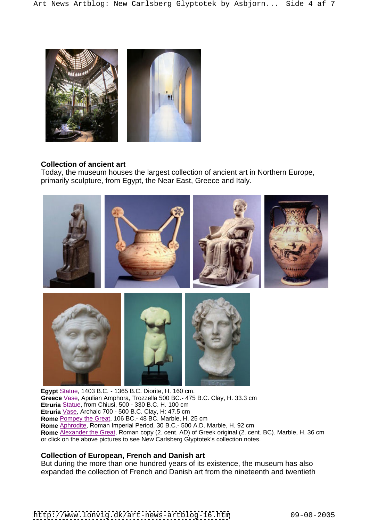

#### **Collection of ancient art**

Today, the museum houses the largest collection of ancient art in Northern Europe, primarily sculpture, from Egypt, the Near East, Greece and Italy.



**Egypt** Statue, 1403 B.C. - 1365 B.C. Diorite, H. 160 cm. **Greece** Vase, Apulian Amphora, Trozzella 500 BC.- 475 B.C. Clay, H. 33.3 cm **Etruria** Statue, from Chiusi, 500 - 330 B.C. H. 100 cm **Etruria** Vase, Archaic 700 - 500 B.C. Clay, H: 47.5 cm **Rome** Pompey the Great, 106 BC.- 48 BC. Marble, H. 25 cm **Rome** Aphrodite, Roman Imperial Period, 30 B.C.- 500 A.D. Marble, H. 92 cm **Rome** Alexander the Great, Roman copy (2. cent. AD) of Greek original (2. cent. BC). Marble, H. 36 cm or click on the above pictures to see New Carlsberg Glyptotek's collection notes.

## **Collection of European, French and Danish art**

But during the more than one hundred years of its existence, the museum has also expanded the collection of French and Danish art from the nineteenth and twentieth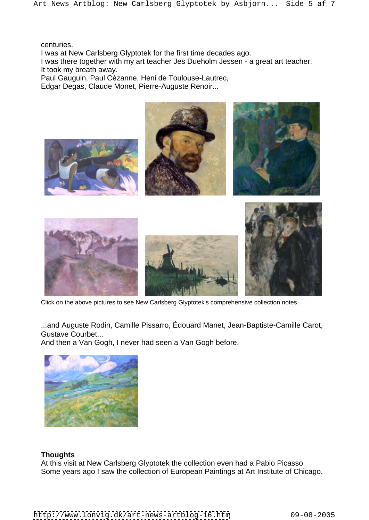centuries. The contract of the contract of the contract of the contract of the contract of the contract of the contract of the contract of the contract of the contract of the contract of the contract of the contract of the

I was at New Carlsberg Glyptotek for the first time decades ago.

I was there together with my art teacher Jes Dueholm Jessen - a great art teacher. It took my breath away.

Paul Gauguin, Paul Cézanne, Heni de Toulouse-Lautrec,

Edgar Degas, Claude Monet, Pierre-Auguste Renoir...



Click on the above pictures to see New Carlsberg Glyptotek's comprehensive collection notes.

...and Auguste Rodin, Camille Pissarro, Édouard Manet, Jean-Baptiste-Camille Carot, Gustave Courbet...

And then a Van Gogh, I never had seen a Van Gogh before.



# **Thoughts**

At this visit at New Carlsberg Glyptotek the collection even had a Pablo Picasso. Some years ago I saw the collection of European Paintings at Art Institute of Chicago.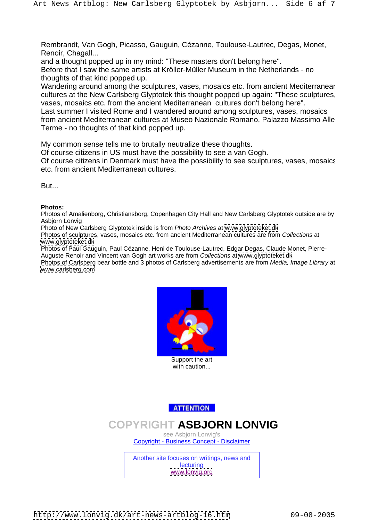Rembrandt, Van Gogh, Picasso, Gauguin, Cézanne, Toulouse-Lautrec, Degas, Monet, Renoir, Chagall...

and a thought popped up in my mind: "These masters don't belong here".

Before that I saw the same artists at Kröller-Müller Museum in the Netherlands - no thoughts of that kind popped up.

Wandering around among the sculptures, vases, mosaics etc. from ancient Mediterranean cultures at the New Carlsberg Glyptotek this thought popped up again: "These sculptures, vases, mosaics etc. from the ancient Mediterranean cultures don't belong here".

Last summer I visited Rome and I wandered around among sculptures, vases, mosaics from ancient Mediterranean cultures at Museo Nazionale Romano, Palazzo Massimo Alle Terme - no thoughts of that kind popped up.

My common sense tells me to brutally neutralize these thoughts.

Of course citizens in US must have the possibility to see a van Gogh.

Of course citizens in Denmark must have the possibility to see sculptures, vases, mosaics etc. from ancient Mediterranean cultures.

**But... But... But... But... But... But... But... But... But... But... But... But... But... But... But... But... But... But... But... But... But... But... But... But... But..** 

**Photos:** Photos of Amalienborg, Christiansborg, Copenhagen City Hall and New Carlsberg Glyptotek outside are by Asbjorn Lonvig

Photo of New Carlsberg Glyptotek inside is from Photo Archives at [www.glyptoteket.dk](http://www.glyptoteket.dk)

Photos of sculptures, vases, mosaics etc. from ancient Mediterranean cultures are from Collections at [www.glyptoteket.dk](http://www.glyptoteket.dk)

Photos of Paul Gauguin, Paul Cézanne, Heni de Toulouse-Lautrec, Edgar Degas, Claude Monet, Pierre- Auguste Renoir and Vincent van Gogh art works are from Collections at [www.glyptoteket.dk](http://www.glyptoteket.dk)

Photos of Carlsberg bear bottle and 3 photos of Carlsberg advertisements are from Media, Image Library at [www.carlsberg.com](http://www.carlsberg.com)



Support the art and the state of the state of the state of the state of the state of the state of the state of the state of the state of the state of the state of the state of the state of the state of the state of the sta with caution... **Example 20** is a set of the set of the set of the set of the set of the set of the set of the set of the set of the set of the set of the set of the set of the set of the set of the set of the set of the s

**ATTENTION** 

# **COPYRIGHT ASBJORN LONVIG**

see Asbjorn Lonvig's Copyright - Business Concept - Disclaimer

Another site focuses on writings, news and **lecturing** the contract of the contract of the contract of the contract of the contract of the contract of the contract of the contract of the contract of the contract of the contract of the contract of the contract of th [www.lonvig.org](http://www.lonvig.org)